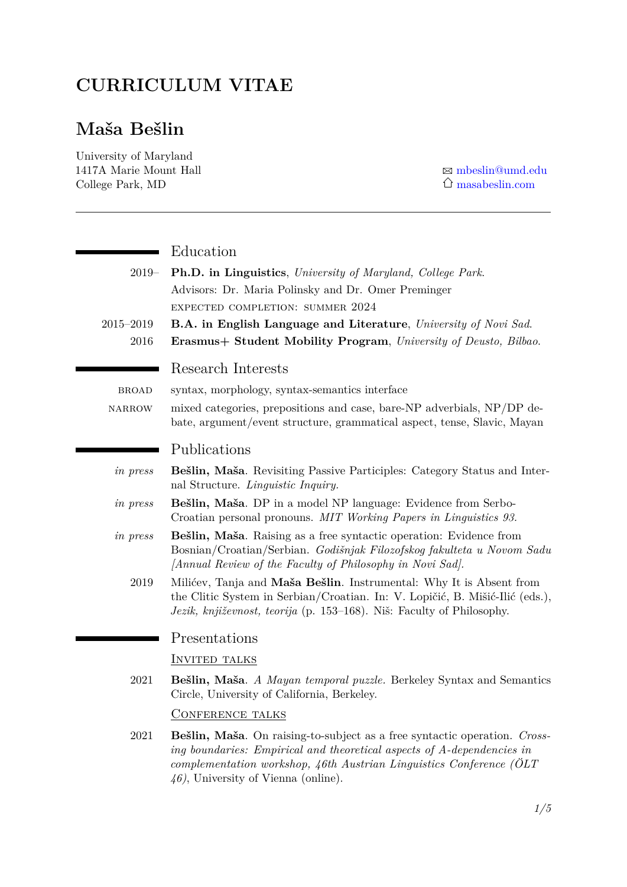## **CURRICULUM VITAE**

# **Maša Bešlin**

University of Maryland 1417A Marie Mount Hall  $\boxtimes$  [mbeslin@umd.edu](mailto:mbeslin@umd.edu) College Park, MD  $\hat{O}$  [masabeslin.com](https://www.masabeslin.com/)

|               | Education                                                                                                                                                                                                                                                             |
|---------------|-----------------------------------------------------------------------------------------------------------------------------------------------------------------------------------------------------------------------------------------------------------------------|
| $2019-$       | <b>Ph.D.</b> in Linguistics, University of Maryland, College Park.                                                                                                                                                                                                    |
|               | Advisors: Dr. Maria Polinsky and Dr. Omer Preminger                                                                                                                                                                                                                   |
|               | EXPECTED COMPLETION: SUMMER 2024                                                                                                                                                                                                                                      |
| $2015 - 2019$ | B.A. in English Language and Literature, University of Novi Sad.                                                                                                                                                                                                      |
| 2016          | Erasmus+ Student Mobility Program, University of Deusto, Bilbao.                                                                                                                                                                                                      |
|               | Research Interests                                                                                                                                                                                                                                                    |
| <b>BROAD</b>  | syntax, morphology, syntax-semantics interface                                                                                                                                                                                                                        |
| NARROW        | mixed categories, prepositions and case, bare-NP adverbials, NP/DP de-<br>bate, argument/event structure, grammatical aspect, tense, Slavic, Mayan                                                                                                                    |
|               | Publications                                                                                                                                                                                                                                                          |
| in press      | Bešlin, Maša. Revisiting Passive Participles: Category Status and Inter-<br>nal Structure. Linguistic Inquiry.                                                                                                                                                        |
| in press      | Bešlin, Maša. DP in a model NP language: Evidence from Serbo-<br>Croatian personal pronouns. MIT Working Papers in Linguistics 93.                                                                                                                                    |
| in press      | Bešlin, Maša. Raising as a free syntactic operation: Evidence from<br>Bosnian/Croatian/Serbian. Godišnjak Filozofskog fakulteta u Novom Sadu<br>[Annual Review of the Faculty of Philosophy in Novi Sad].                                                             |
| 2019          | Milićev, Tanja and Maša Bešlin. Instrumental: Why It is Absent from<br>the Clitic System in Serbian/Croatian. In: V. Lopičić, B. Mišić-Ilić (eds.),<br>Jezik, književnost, teorija (p. 153–168). Niš: Faculty of Philosophy.                                          |
|               | Presentations                                                                                                                                                                                                                                                         |
|               | <b>INVITED TALKS</b>                                                                                                                                                                                                                                                  |
| 2021          | Bešlin, Maša. A Mayan temporal puzzle. Berkeley Syntax and Semantics<br>Circle, University of California, Berkeley.                                                                                                                                                   |
|               | <b>CONFERENCE TALKS</b>                                                                                                                                                                                                                                               |
| 2021          | Bešlin, Maša. On raising-to-subject as a free syntactic operation. Cross-<br>ing boundaries: Empirical and theoretical aspects of A-dependencies in<br>complementation workshop, 46th Austrian Linguistics Conference (OLT<br>$(46)$ , University of Vienna (online). |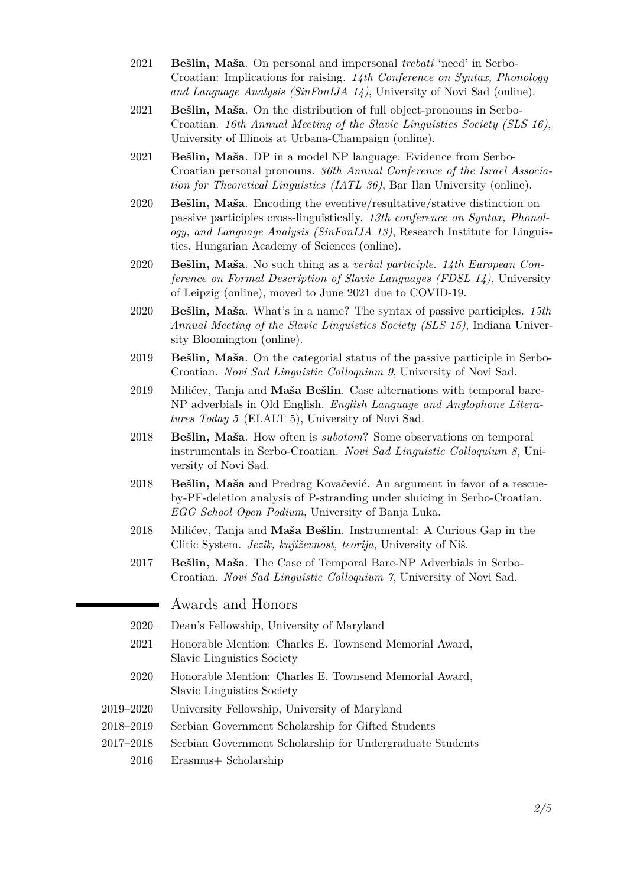- 2021 **Bešlin, Maša**. On personal and impersonal *trebati* 'need' in Serbo-Croatian: Implications for raising. *14th Conference on Syntax, Phonology and Language Analysis (SinFonIJA 14)*, University of Novi Sad (online).
- 2021 **Bešlin, Maša**. On the distribution of full object-pronouns in Serbo-Croatian. *16th Annual Meeting of the Slavic Linguistics Society (SLS 16)*, University of Illinois at Urbana-Champaign (online).
- 2021 **Bešlin, Maša**. DP in a model NP language: Evidence from Serbo-Croatian personal pronouns. *36th Annual Conference of the Israel Association for Theoretical Linguistics (IATL 36)*, Bar Ilan University (online).
- 2020 **Bešlin, Maša**. Encoding the eventive/resultative/stative distinction on passive participles cross-linguistically. *13th conference on Syntax, Phonology, and Language Analysis (SinFonIJA 13)*, Research Institute for Linguistics, Hungarian Academy of Sciences (online).
- 2020 **Bešlin, Maša**. No such thing as a *verbal participle*. *14th European Conference on Formal Description of Slavic Languages (FDSL 14)*, University of Leipzig (online), moved to June 2021 due to COVID-19.
- 2020 **Bešlin, Maša**. What's in a name? The syntax of passive participles. *15th Annual Meeting of the Slavic Linguistics Society (SLS 15)*, Indiana University Bloomington (online).
- 2019 **Bešlin, Maša**. On the categorial status of the passive participle in Serbo-Croatian. *Novi Sad Linguistic Colloquium 9*, University of Novi Sad.
- 2019 Milićev, Tanja and **Maša Bešlin**. Case alternations with temporal bare-NP adverbials in Old English. *English Language and Anglophone Literatures Today 5* (ELALT 5), University of Novi Sad.
- 2018 **Bešlin, Maša**. How often is *subotom*? Some observations on temporal instrumentals in Serbo-Croatian. *Novi Sad Linguistic Colloquium 8*, University of Novi Sad.
- 2018 **Bešlin, Maša** and Predrag Kovačević. An argument in favor of a rescueby-PF-deletion analysis of P-stranding under sluicing in Serbo-Croatian. *EGG School Open Podium*, University of Banja Luka.
- 2018 Milićev, Tanja and **Maša Bešlin**. Instrumental: A Curious Gap in the Clitic System. *Jezik, književnost, teorija*, University of Niš.
- 2017 **Bešlin, Maša**. The Case of Temporal Bare-NP Adverbials in Serbo-Croatian. *Novi Sad Linguistic Colloquium 7*, University of Novi Sad.

#### Awards and Honors

- 2020– Dean's Fellowship, University of Maryland
- 2021 Honorable Mention: Charles E. Townsend Memorial Award, Slavic Linguistics Society
- 2020 Honorable Mention: Charles E. Townsend Memorial Award, Slavic Linguistics Society
- 2019–2020 University Fellowship, University of Maryland
- 2018–2019 Serbian Government Scholarship for Gifted Students
- 2017–2018 Serbian Government Scholarship for Undergraduate Students
	- 2016 Erasmus+ Scholarship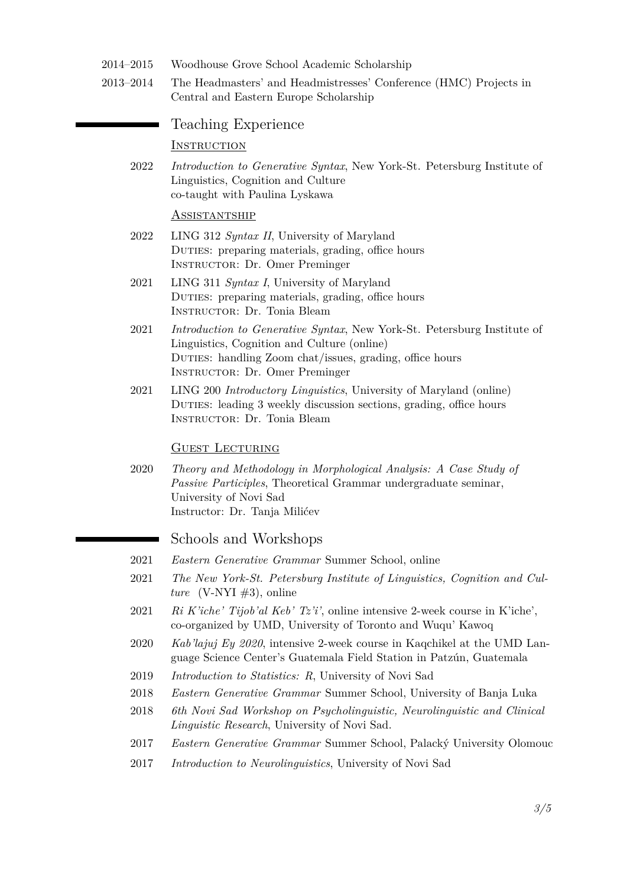- 2014–2015 Woodhouse Grove School Academic Scholarship
- 2013–2014 The Headmasters' and Headmistresses' Conference (HMC) Projects in Central and Eastern Europe Scholarship

Teaching Experience

**INSTRUCTION** 

2022 *Introduction to Generative Syntax*, New York-St. Petersburg Institute of Linguistics, Cognition and Culture co-taught with Paulina Lyskawa

#### Assistantship

- 2022 LING 312 *Syntax II*, University of Maryland DUTIES: preparing materials, grading, office hours Instructor: Dr. Omer Preminger
- 2021 LING 311 *Syntax I*, University of Maryland DUTIES: preparing materials, grading, office hours Instructor: Dr. Tonia Bleam
- 2021 *Introduction to Generative Syntax*, New York-St. Petersburg Institute of Linguistics, Cognition and Culture (online) Duties: handling Zoom chat/issues, grading, office hours Instructor: Dr. Omer Preminger
- 2021 LING 200 *Introductory Linguistics*, University of Maryland (online) DUTIES: leading 3 weekly discussion sections, grading, office hours Instructor: Dr. Tonia Bleam

#### GUEST LECTURING

2020 *Theory and Methodology in Morphological Analysis: A Case Study of Passive Participles*, Theoretical Grammar undergraduate seminar, University of Novi Sad Instructor: Dr. Tanja Milićev

#### Schools and Workshops

- 2021 *Eastern Generative Grammar* Summer School, online
- 2021 *The New York-St. Petersburg Institute of Linguistics, Cognition and Culture* (V-NYI  $\#3$ ), online
- 2021 *Ri K'iche' Tijob'al Keb' Tz'i'*, online intensive 2-week course in K'iche', co-organized by UMD, University of Toronto and Wuqu' Kawoq
- 2020 *Kab'lajuj Ey 2020*, intensive 2-week course in Kaqchikel at the UMD Language Science Center's Guatemala Field Station in Patzún, Guatemala
- 2019 *Introduction to Statistics: R*, University of Novi Sad
- 2018 *Eastern Generative Grammar* Summer School, University of Banja Luka
- 2018 *6th Novi Sad Workshop on Psycholinguistic, Neurolinguistic and Clinical Linguistic Research*, University of Novi Sad.
- 2017 *Eastern Generative Grammar* Summer School, Palacký University Olomouc
- 2017 *Introduction to Neurolinguistics*, University of Novi Sad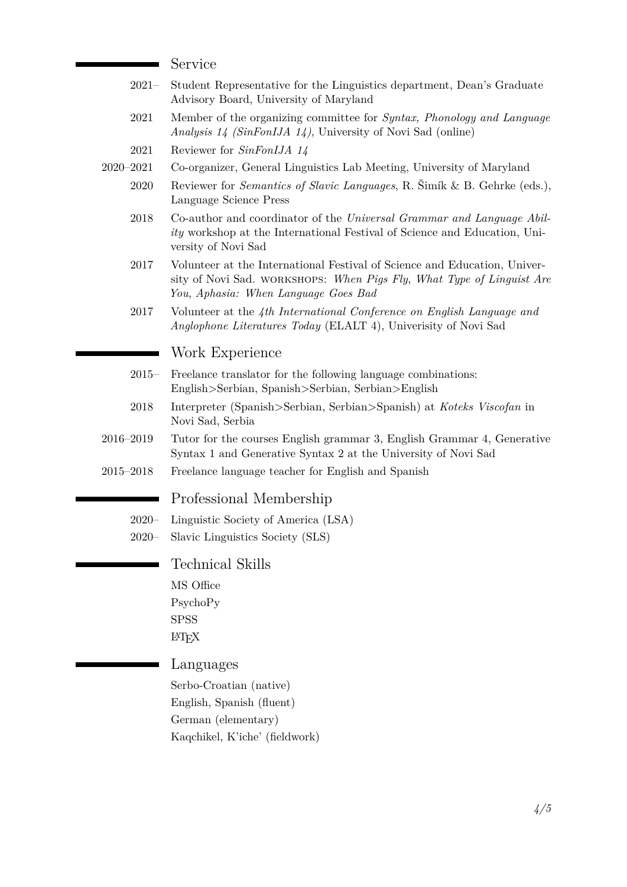#### Service

- 2021– Student Representative for the Linguistics department, Dean's Graduate Advisory Board, University of Maryland
- 2021 Member of the organizing committee for *Syntax, Phonology and Language Analysis 14 (SinFonIJA 14)*, University of Novi Sad (online)
- 2021 Reviewer for *SinFonIJA 14*
- 2020–2021 Co-organizer, General Linguistics Lab Meeting, University of Maryland
	- 2020 Reviewer for *Semantics of Slavic Languages*, R. Šimík & B. Gehrke (eds.), Language Science Press
	- 2018 Co-author and coordinator of the *Universal Grammar and Language Ability* workshop at the International Festival of Science and Education, University of Novi Sad
	- 2017 Volunteer at the International Festival of Science and Education, University of Novi Sad. workshops: *When Pigs Fly*, *What Type of Linguist Are You*, *Aphasia: When Language Goes Bad*
	- 2017 Volunteer at the *4th International Conference on English Language and Anglophone Literatures Today* (ELALT 4), Univerisity of Novi Sad

#### Work Experience

- 2015– Freelance translator for the following language combinations: English>Serbian, Spanish>Serbian, Serbian>English
- 2018 Interpreter (Spanish>Serbian, Serbian>Spanish) at *Koteks Viscofan* in Novi Sad, Serbia
- 2016–2019 Tutor for the courses English grammar 3, English Grammar 4, Generative Syntax 1 and Generative Syntax 2 at the University of Novi Sad
- 2015–2018 Freelance language teacher for English and Spanish

#### Professional Membership

- 2020– Linguistic Society of America (LSA)
- 2020– Slavic Linguistics Society (SLS)

Technical Skills

MS Office

PsychoPy **SPSS** 

LATEX

### <span id="page-3-0"></span>Languages

Serbo-Croatian (native) English, Spanish (fluent) German (elementary) Kaqchikel, K'iche' (fieldwork)